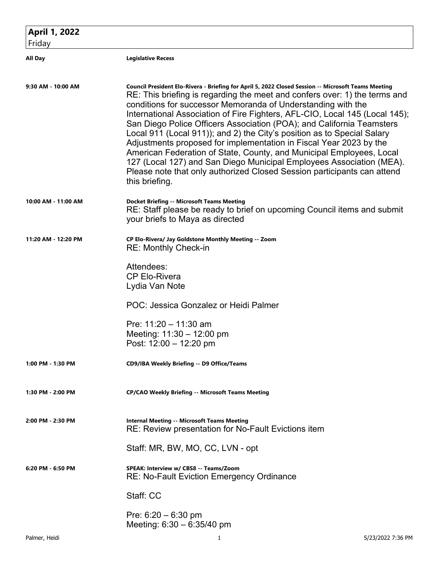| <b>April 1, 2022</b><br>Friday |                                                                                                                                                                                                                                                                                                                                                                                                                                                                                                                                                                                                                                                                                                                                                                                                         |
|--------------------------------|---------------------------------------------------------------------------------------------------------------------------------------------------------------------------------------------------------------------------------------------------------------------------------------------------------------------------------------------------------------------------------------------------------------------------------------------------------------------------------------------------------------------------------------------------------------------------------------------------------------------------------------------------------------------------------------------------------------------------------------------------------------------------------------------------------|
| <b>All Day</b>                 | <b>Legislative Recess</b>                                                                                                                                                                                                                                                                                                                                                                                                                                                                                                                                                                                                                                                                                                                                                                               |
| 9:30 AM - 10:00 AM             | Council President Elo-Rivera - Briefing for April 5, 2022 Closed Session -- Microsoft Teams Meeting<br>RE: This briefing is regarding the meet and confers over: 1) the terms and<br>conditions for successor Memoranda of Understanding with the<br>International Association of Fire Fighters, AFL-CIO, Local 145 (Local 145);<br>San Diego Police Officers Association (POA); and California Teamsters<br>Local 911 (Local 911)); and 2) the City's position as to Special Salary<br>Adjustments proposed for implementation in Fiscal Year 2023 by the<br>American Federation of State, County, and Municipal Employees, Local<br>127 (Local 127) and San Diego Municipal Employees Association (MEA).<br>Please note that only authorized Closed Session participants can attend<br>this briefing. |
| 10:00 AM - 11:00 AM            | <b>Docket Briefing -- Microsoft Teams Meeting</b><br>RE: Staff please be ready to brief on upcoming Council items and submit<br>your briefs to Maya as directed                                                                                                                                                                                                                                                                                                                                                                                                                                                                                                                                                                                                                                         |
| 11:20 AM - 12:20 PM            | CP Elo-Rivera/ Jay Goldstone Monthly Meeting -- Zoom<br><b>RE: Monthly Check-in</b>                                                                                                                                                                                                                                                                                                                                                                                                                                                                                                                                                                                                                                                                                                                     |
|                                | Attendees:<br><b>CP Elo-Rivera</b><br>Lydia Van Note                                                                                                                                                                                                                                                                                                                                                                                                                                                                                                                                                                                                                                                                                                                                                    |
|                                | POC: Jessica Gonzalez or Heidi Palmer                                                                                                                                                                                                                                                                                                                                                                                                                                                                                                                                                                                                                                                                                                                                                                   |
|                                | Pre: $11:20 - 11:30$ am<br>Meeting: $11:30 - 12:00$ pm<br>Post: 12:00 - 12:20 pm                                                                                                                                                                                                                                                                                                                                                                                                                                                                                                                                                                                                                                                                                                                        |
| 1:00 PM - 1:30 PM              | CD9/IBA Weekly Briefing -- D9 Office/Teams                                                                                                                                                                                                                                                                                                                                                                                                                                                                                                                                                                                                                                                                                                                                                              |
| 1:30 PM - 2:00 PM              | <b>CP/CAO Weekly Briefing -- Microsoft Teams Meeting</b>                                                                                                                                                                                                                                                                                                                                                                                                                                                                                                                                                                                                                                                                                                                                                |
| 2:00 PM - 2:30 PM              | <b>Internal Meeting -- Microsoft Teams Meeting</b><br><b>RE: Review presentation for No-Fault Evictions item</b>                                                                                                                                                                                                                                                                                                                                                                                                                                                                                                                                                                                                                                                                                        |
|                                | Staff: MR, BW, MO, CC, LVN - opt                                                                                                                                                                                                                                                                                                                                                                                                                                                                                                                                                                                                                                                                                                                                                                        |
| 6:20 PM - 6:50 PM              | SPEAK: Interview w/ CBS8 -- Teams/Zoom<br>RE: No-Fault Eviction Emergency Ordinance                                                                                                                                                                                                                                                                                                                                                                                                                                                                                                                                                                                                                                                                                                                     |
|                                | Staff: CC                                                                                                                                                                                                                                                                                                                                                                                                                                                                                                                                                                                                                                                                                                                                                                                               |
|                                | Pre: $6:20 - 6:30$ pm<br>Meeting: $6:30 - 6:35/40$ pm                                                                                                                                                                                                                                                                                                                                                                                                                                                                                                                                                                                                                                                                                                                                                   |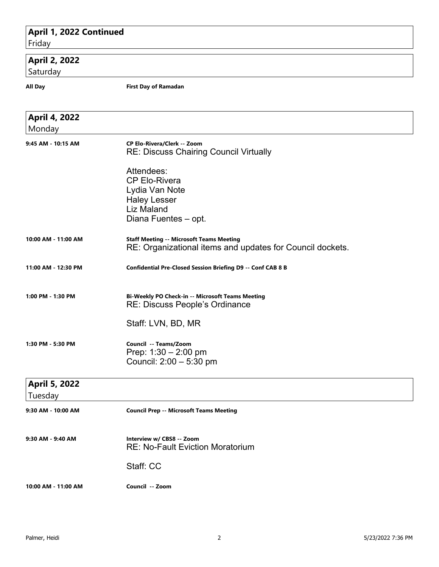# **April 1, 2022 Continued** Friday  **April 2, 2022** Saturday **All Day First Day of Ramadan April 4, 2022** Monday **9:45 AM - 10:15 AM CP Elo-Rivera/Clerk -- Zoom** RE: Discuss Chairing Council Virtually Attendees: CP Elo-Rivera Lydia Van Note Haley Lesser Liz Maland Diana Fuentes – opt. **10:00 AM - 11:00 AM Staff Meeting -- Microsoft Teams Meeting** RE: Organizational items and updates for Council dockets. **11:00 AM - 12:30 PM Confidential Pre-Closed Session Briefing D9 -- Conf CAB 8 B 1:00 PM - 1:30 PM Bi-Weekly PO Check-in -- Microsoft Teams Meeting** RE: Discuss People's Ordinance Staff: LVN, BD, MR **1:30 PM - 5:30 PM Council -- Teams/Zoom** Prep: 1:30 – 2:00 pm Council: 2:00 – 5:30 pm  **April 5, 2022** Tuesday **9:30 AM - 10:00 AM Council Prep -- Microsoft Teams Meeting 9:30 AM - 9:40 AM Interview w/ CBS8 -- Zoom** RE: No-Fault Eviction Moratorium Staff: CC

**10:00 AM - 11:00 AM Council -- Zoom**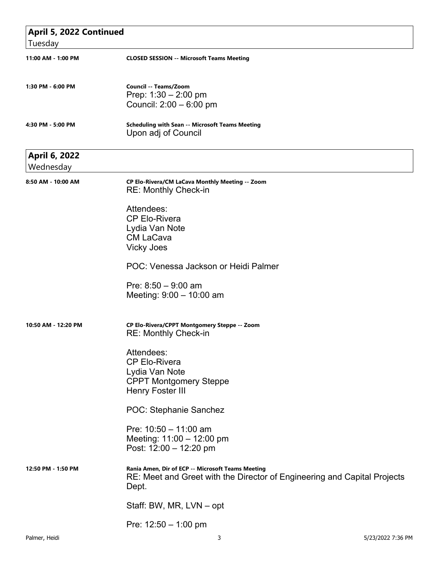| April 5, 2022 Continued           |                                                                                                                                        |
|-----------------------------------|----------------------------------------------------------------------------------------------------------------------------------------|
| Tuesday                           |                                                                                                                                        |
| 11:00 AM - 1:00 PM                | <b>CLOSED SESSION -- Microsoft Teams Meeting</b>                                                                                       |
| 1:30 PM - 6:00 PM                 | Council -- Teams/Zoom<br>Prep: $1:30 - 2:00$ pm<br>Council: 2:00 - 6:00 pm                                                             |
| 4:30 PM - 5:00 PM                 | <b>Scheduling with Sean -- Microsoft Teams Meeting</b><br>Upon adj of Council                                                          |
| <b>April 6, 2022</b><br>Wednesday |                                                                                                                                        |
| 8:50 AM - 10:00 AM                | CP Elo-Rivera/CM LaCava Monthly Meeting -- Zoom<br><b>RE: Monthly Check-in</b>                                                         |
|                                   | Attendees:<br><b>CP Elo-Rivera</b><br>Lydia Van Note<br><b>CM LaCava</b><br><b>Vicky Joes</b>                                          |
|                                   | POC: Venessa Jackson or Heidi Palmer                                                                                                   |
|                                   | Pre: $8:50 - 9:00$ am<br>Meeting: $9:00 - 10:00$ am                                                                                    |
| 10:50 AM - 12:20 PM               | CP Elo-Rivera/CPPT Montgomery Steppe -- Zoom<br><b>RE: Monthly Check-in</b>                                                            |
|                                   | Attendees:<br><b>CP Elo-Rivera</b><br>Lydia Van Note<br><b>CPPT Montgomery Steppe</b><br><b>Henry Foster III</b>                       |
|                                   | POC: Stephanie Sanchez                                                                                                                 |
|                                   | Pre: $10:50 - 11:00$ am<br>Meeting: 11:00 - 12:00 pm<br>Post: 12:00 - 12:20 pm                                                         |
| 12:50 PM - 1:50 PM                | Rania Amen, Dir of ECP -- Microsoft Teams Meeting<br>RE: Meet and Greet with the Director of Engineering and Capital Projects<br>Dept. |
|                                   | Staff: BW, MR, LVN - opt                                                                                                               |
|                                   | Pre: $12:50 - 1:00$ pm                                                                                                                 |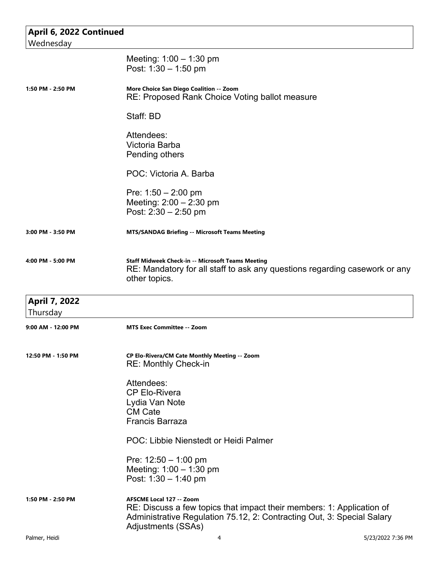| April 6, 2022 Continued        |                                                                                                                                                                                                   |
|--------------------------------|---------------------------------------------------------------------------------------------------------------------------------------------------------------------------------------------------|
| Wednesday                      |                                                                                                                                                                                                   |
|                                | Meeting: $1:00 - 1:30$ pm<br>Post: $1:30 - 1:50$ pm                                                                                                                                               |
| 1:50 PM - 2:50 PM              | More Choice San Diego Coalition -- Zoom<br>RE: Proposed Rank Choice Voting ballot measure                                                                                                         |
|                                | Staff: BD                                                                                                                                                                                         |
|                                | Attendees:<br>Victoria Barba<br>Pending others                                                                                                                                                    |
|                                | POC: Victoria A. Barba                                                                                                                                                                            |
|                                | Pre: $1:50 - 2:00$ pm<br>Meeting: $2:00 - 2:30$ pm<br>Post: $2:30 - 2:50$ pm                                                                                                                      |
| 3:00 PM - 3:50 PM              | <b>MTS/SANDAG Briefing -- Microsoft Teams Meeting</b>                                                                                                                                             |
| 4:00 PM - 5:00 PM              | <b>Staff Midweek Check-in -- Microsoft Teams Meeting</b><br>RE: Mandatory for all staff to ask any questions regarding casework or any<br>other topics.                                           |
| <b>April 7, 2022</b>           |                                                                                                                                                                                                   |
| Thursday<br>9:00 AM - 12:00 PM | <b>MTS Exec Committee -- Zoom</b>                                                                                                                                                                 |
| 12:50 PM - 1:50 PM             | CP Elo-Rivera/CM Cate Monthly Meeting -- Zoom<br><b>RE: Monthly Check-in</b>                                                                                                                      |
|                                | Attendees:<br><b>CP Elo-Rivera</b><br>Lydia Van Note<br><b>CM Cate</b><br><b>Francis Barraza</b>                                                                                                  |
|                                | POC: Libbie Nienstedt or Heidi Palmer                                                                                                                                                             |
|                                | Pre: $12:50 - 1:00$ pm<br>Meeting: $1:00 - 1:30$ pm<br>Post: $1:30 - 1:40$ pm                                                                                                                     |
| 1:50 PM - 2:50 PM              | AFSCME Local 127 -- Zoom<br>RE: Discuss a few topics that impact their members: 1: Application of<br>Administrative Regulation 75.12, 2: Contracting Out, 3: Special Salary<br>Adjustments (SSAs) |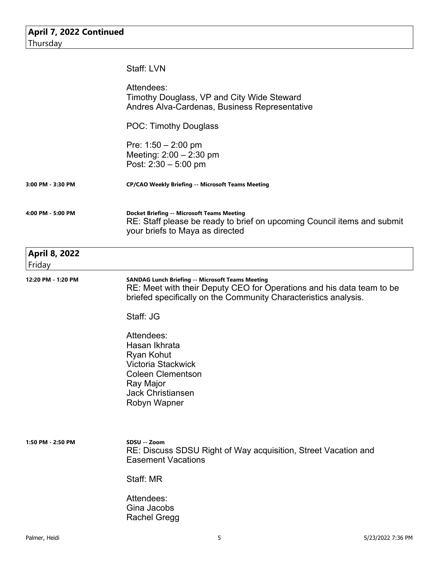|                                | Staff: LVN                                                                                                                                                                                          |
|--------------------------------|-----------------------------------------------------------------------------------------------------------------------------------------------------------------------------------------------------|
|                                | Attendees:<br>Timothy Douglass, VP and City Wide Steward<br>Andres Alva-Cardenas, Business Representative                                                                                           |
|                                | <b>POC: Timothy Douglass</b>                                                                                                                                                                        |
|                                | Pre: $1:50 - 2:00$ pm<br>Meeting: $2:00 - 2:30$ pm<br>Post: $2:30 - 5:00$ pm                                                                                                                        |
| 3:00 PM - 3:30 PM              | <b>CP/CAO Weekly Briefing -- Microsoft Teams Meeting</b>                                                                                                                                            |
| 4:00 PM - 5:00 PM              | <b>Docket Briefing -- Microsoft Teams Meeting</b><br>RE: Staff please be ready to brief on upcoming Council items and submit<br>your briefs to Maya as directed                                     |
| <b>April 8, 2022</b><br>Friday |                                                                                                                                                                                                     |
| 12:20 PM - 1:20 PM             | <b>SANDAG Lunch Briefing -- Microsoft Teams Meeting</b><br>RE: Meet with their Deputy CEO for Operations and his data team to be<br>briefed specifically on the Community Characteristics analysis. |
|                                | Staff: JG                                                                                                                                                                                           |
|                                | Attendees:<br>Hasan Ikhrata<br><b>Ryan Kohut</b><br>Victoria Stackwick<br><b>Coleen Clementson</b><br>Ray Major<br><b>Jack Christiansen</b><br>Robyn Wapner                                         |
| 1:50 PM - 2:50 PM              | SDSU -- Zoom<br>RE: Discuss SDSU Right of Way acquisition, Street Vacation and<br><b>Easement Vacations</b>                                                                                         |
|                                | Staff: MR                                                                                                                                                                                           |
|                                | Attendees:<br>Gina Jacobs<br><b>Rachel Gregg</b>                                                                                                                                                    |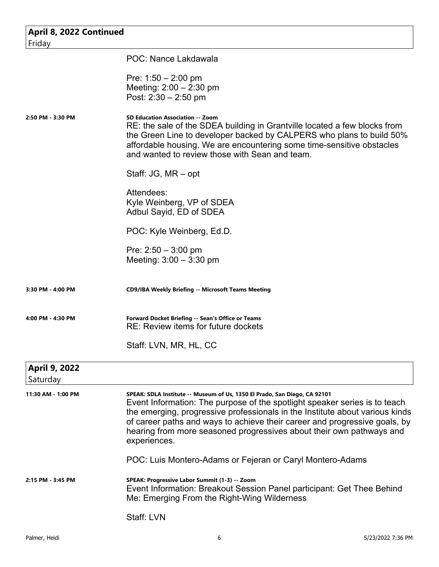| April 8, 2022 Continued<br>Friday |                                                                                                                                                                                                                                                                                                                                                                                                               |
|-----------------------------------|---------------------------------------------------------------------------------------------------------------------------------------------------------------------------------------------------------------------------------------------------------------------------------------------------------------------------------------------------------------------------------------------------------------|
|                                   | POC: Nance Lakdawala                                                                                                                                                                                                                                                                                                                                                                                          |
|                                   | Pre: $1:50 - 2:00$ pm<br>Meeting: $2:00 - 2:30$ pm<br>Post: $2:30 - 2:50$ pm                                                                                                                                                                                                                                                                                                                                  |
| 2:50 PM - 3:30 PM                 | <b>SD Education Association -- Zoom</b><br>RE: the sale of the SDEA building in Grantville located a few blocks from<br>the Green Line to developer backed by CALPERS who plans to build 50%<br>affordable housing. We are encountering some time-sensitive obstacles<br>and wanted to review those with Sean and team.                                                                                       |
|                                   | Staff: JG, MR – opt                                                                                                                                                                                                                                                                                                                                                                                           |
|                                   | Attendees:<br>Kyle Weinberg, VP of SDEA<br>Adbul Sayid, ED of SDEA                                                                                                                                                                                                                                                                                                                                            |
|                                   | POC: Kyle Weinberg, Ed.D.                                                                                                                                                                                                                                                                                                                                                                                     |
|                                   | Pre: $2:50 - 3:00$ pm<br>Meeting: $3:00 - 3:30$ pm                                                                                                                                                                                                                                                                                                                                                            |
| 3:30 PM - 4:00 PM                 | <b>CD9/IBA Weekly Briefing -- Microsoft Teams Meeting</b>                                                                                                                                                                                                                                                                                                                                                     |
| 4:00 PM - 4:30 PM                 | Forward Docket Briefing -- Sean's Office or Teams<br>RE: Review items for future dockets                                                                                                                                                                                                                                                                                                                      |
|                                   | Staff: LVN, MR, HL, CC                                                                                                                                                                                                                                                                                                                                                                                        |
| <b>April 9, 2022</b><br>Saturday  |                                                                                                                                                                                                                                                                                                                                                                                                               |
| 11:30 AM - 1:00 PM                | SPEAK: SDLA Institute -- Museum of Us, 1350 El Prado, San Diego, CA 92101<br>Event Information: The purpose of the spotlight speaker series is to teach<br>the emerging, progressive professionals in the Institute about various kinds<br>of career paths and ways to achieve their career and progressive goals, by<br>hearing from more seasoned progressives about their own pathways and<br>experiences. |
|                                   | POC: Luis Montero-Adams or Fejeran or Caryl Montero-Adams                                                                                                                                                                                                                                                                                                                                                     |
| 2:15 PM - 3:45 PM                 | SPEAK: Progressive Labor Summit (1-3) -- Zoom<br>Event Information: Breakout Session Panel participant: Get Thee Behind<br>Me: Emerging From the Right-Wing Wilderness                                                                                                                                                                                                                                        |
|                                   | Staff: LVN                                                                                                                                                                                                                                                                                                                                                                                                    |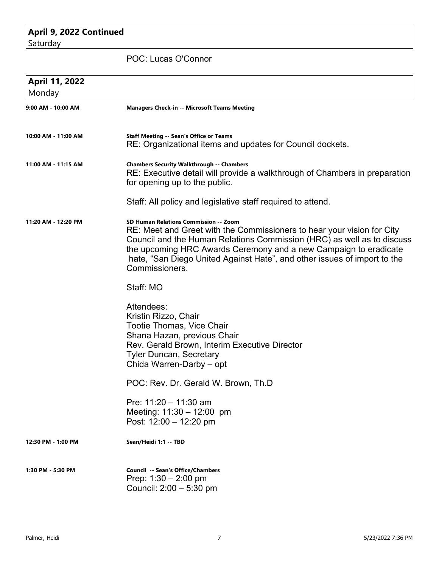## **April 9, 2022 Continued** Saturday

POC: Lucas O'Connor

| April 11, 2022      |                                                                                                                                                                                                                                                                                                                                                             |
|---------------------|-------------------------------------------------------------------------------------------------------------------------------------------------------------------------------------------------------------------------------------------------------------------------------------------------------------------------------------------------------------|
| Monday              |                                                                                                                                                                                                                                                                                                                                                             |
| 9:00 AM - 10:00 AM  | <b>Managers Check-in -- Microsoft Teams Meeting</b>                                                                                                                                                                                                                                                                                                         |
| 10:00 AM - 11:00 AM | <b>Staff Meeting -- Sean's Office or Teams</b><br>RE: Organizational items and updates for Council dockets.                                                                                                                                                                                                                                                 |
| 11:00 AM - 11:15 AM | <b>Chambers Security Walkthrough -- Chambers</b><br>RE: Executive detail will provide a walkthrough of Chambers in preparation<br>for opening up to the public.                                                                                                                                                                                             |
|                     | Staff: All policy and legislative staff required to attend.                                                                                                                                                                                                                                                                                                 |
| 11:20 AM - 12:20 PM | SD Human Relations Commission -- Zoom<br>RE: Meet and Greet with the Commissioners to hear your vision for City<br>Council and the Human Relations Commission (HRC) as well as to discuss<br>the upcoming HRC Awards Ceremony and a new Campaign to eradicate<br>hate, "San Diego United Against Hate", and other issues of import to the<br>Commissioners. |
|                     | Staff: MO                                                                                                                                                                                                                                                                                                                                                   |
|                     | Attendees:<br>Kristin Rizzo, Chair<br>Tootie Thomas, Vice Chair<br>Shana Hazan, previous Chair<br>Rev. Gerald Brown, Interim Executive Director<br><b>Tyler Duncan, Secretary</b><br>Chida Warren-Darby - opt                                                                                                                                               |
|                     | POC: Rev. Dr. Gerald W. Brown, Th.D                                                                                                                                                                                                                                                                                                                         |
|                     | Pre: 11:20 - 11:30 am<br>Meeting: 11:30 - 12:00 pm<br>Post: 12:00 - 12:20 pm                                                                                                                                                                                                                                                                                |
| 12:30 PM - 1:00 PM  | Sean/Heidi 1:1 -- TBD                                                                                                                                                                                                                                                                                                                                       |
| 1:30 PM - 5:30 PM   | <b>Council -- Sean's Office/Chambers</b><br>Prep: $1:30 - 2:00$ pm<br>Council: $2:00 - 5:30$ pm                                                                                                                                                                                                                                                             |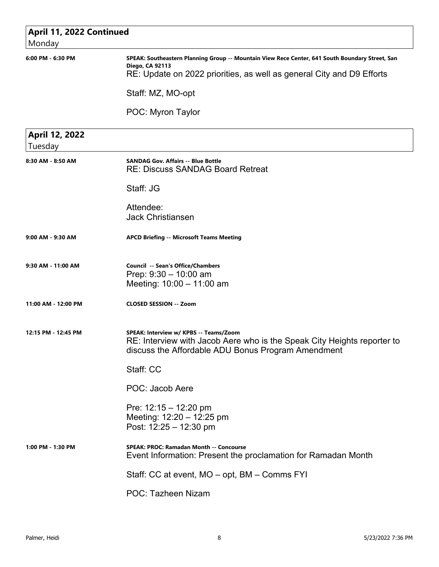| April 11, 2022 Continued<br>Monday |                                                                                                                                                                                             |
|------------------------------------|---------------------------------------------------------------------------------------------------------------------------------------------------------------------------------------------|
| 6:00 PM - 6:30 PM                  | SPEAK: Southeastern Planning Group -- Mountain View Rece Center, 641 South Boundary Street, San<br>Diego, CA 92113<br>RE: Update on 2022 priorities, as well as general City and D9 Efforts |
|                                    | Staff: MZ, MO-opt                                                                                                                                                                           |
|                                    | POC: Myron Taylor                                                                                                                                                                           |
| April 12, 2022<br>Tuesday          |                                                                                                                                                                                             |
| 8:30 AM - 8:50 AM                  | <b>SANDAG Gov. Affairs -- Blue Bottle</b><br><b>RE: Discuss SANDAG Board Retreat</b>                                                                                                        |
|                                    | Staff: JG                                                                                                                                                                                   |
|                                    | Attendee:<br><b>Jack Christiansen</b>                                                                                                                                                       |
| 9:00 AM - 9:30 AM                  | <b>APCD Briefing -- Microsoft Teams Meeting</b>                                                                                                                                             |
| 9:30 AM - 11:00 AM                 | Council -- Sean's Office/Chambers<br>Prep: $9:30 - 10:00$ am<br>Meeting: 10:00 - 11:00 am                                                                                                   |
| 11:00 AM - 12:00 PM                | <b>CLOSED SESSION -- Zoom</b>                                                                                                                                                               |
| 12:15 PM - 12:45 PM                | SPEAK: Interview w/ KPBS -- Teams/Zoom<br>RE: Interview with Jacob Aere who is the Speak City Heights reporter to<br>discuss the Affordable ADU Bonus Program Amendment                     |
|                                    | Staff: CC                                                                                                                                                                                   |
|                                    | POC: Jacob Aere                                                                                                                                                                             |
|                                    | Pre: $12:15 - 12:20$ pm<br>Meeting: 12:20 - 12:25 pm<br>Post: 12:25 - 12:30 pm                                                                                                              |
| 1:00 PM - 1:30 PM                  | <b>SPEAK: PROC: Ramadan Month -- Concourse</b><br>Event Information: Present the proclamation for Ramadan Month                                                                             |
|                                    | Staff: CC at event, MO – opt, BM – Comms FYI                                                                                                                                                |
|                                    | POC: Tazheen Nizam                                                                                                                                                                          |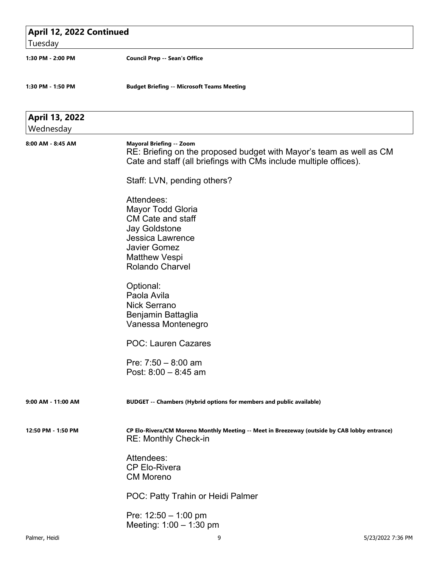| April 12, 2022 Continued<br>Tuesday |                                                                                                                                                                                  |
|-------------------------------------|----------------------------------------------------------------------------------------------------------------------------------------------------------------------------------|
| 1:30 PM - 2:00 PM                   | <b>Council Prep -- Sean's Office</b>                                                                                                                                             |
| 1:30 PM - 1:50 PM                   | <b>Budget Briefing -- Microsoft Teams Meeting</b>                                                                                                                                |
| April 13, 2022<br>Wednesday         |                                                                                                                                                                                  |
| 8:00 AM - 8:45 AM                   | <b>Mayoral Briefing -- Zoom</b><br>RE: Briefing on the proposed budget with Mayor's team as well as CM<br>Cate and staff (all briefings with CMs include multiple offices).      |
|                                     | Staff: LVN, pending others?                                                                                                                                                      |
|                                     | Attendees:<br>Mayor Todd Gloria<br><b>CM Cate and staff</b><br><b>Jay Goldstone</b><br>Jessica Lawrence<br><b>Javier Gomez</b><br><b>Matthew Vespi</b><br><b>Rolando Charvel</b> |
|                                     | Optional:<br>Paola Avila<br><b>Nick Serrano</b><br>Benjamin Battaglia<br>Vanessa Montenegro                                                                                      |
|                                     | <b>POC: Lauren Cazares</b>                                                                                                                                                       |
|                                     | Pre: $7:50 - 8:00$ am<br>Post: $8:00 - 8:45$ am                                                                                                                                  |
| 9:00 AM - 11:00 AM                  | BUDGET -- Chambers (Hybrid options for members and public available)                                                                                                             |
| 12:50 PM - 1:50 PM                  | CP Elo-Rivera/CM Moreno Monthly Meeting -- Meet in Breezeway (outside by CAB lobby entrance)<br><b>RE: Monthly Check-in</b>                                                      |
|                                     | Attendees:<br><b>CP Elo-Rivera</b><br><b>CM Moreno</b>                                                                                                                           |
|                                     | POC: Patty Trahin or Heidi Palmer                                                                                                                                                |
|                                     | Pre: $12:50 - 1:00$ pm<br>Meeting: 1:00 - 1:30 pm                                                                                                                                |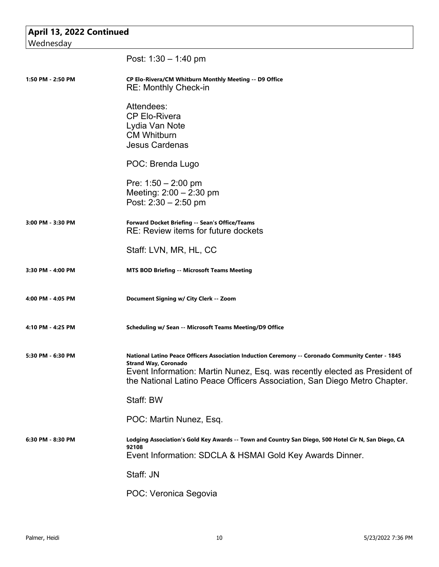| April 13, 2022 Continued<br>Wednesday |                                                                                                                                                                                                                                                                                            |
|---------------------------------------|--------------------------------------------------------------------------------------------------------------------------------------------------------------------------------------------------------------------------------------------------------------------------------------------|
|                                       | Post: $1:30 - 1:40$ pm                                                                                                                                                                                                                                                                     |
| 1:50 PM - 2:50 PM                     | CP Elo-Rivera/CM Whitburn Monthly Meeting -- D9 Office<br><b>RE: Monthly Check-in</b>                                                                                                                                                                                                      |
|                                       | Attendees:<br><b>CP Elo-Rivera</b><br>Lydia Van Note<br><b>CM Whitburn</b><br><b>Jesus Cardenas</b>                                                                                                                                                                                        |
|                                       | POC: Brenda Lugo                                                                                                                                                                                                                                                                           |
|                                       | Pre: $1:50 - 2:00$ pm<br>Meeting: $2:00 - 2:30$ pm<br>Post: $2:30 - 2:50$ pm                                                                                                                                                                                                               |
| 3:00 PM - 3:30 PM                     | Forward Docket Briefing -- Sean's Office/Teams<br>RE: Review items for future dockets                                                                                                                                                                                                      |
|                                       | Staff: LVN, MR, HL, CC                                                                                                                                                                                                                                                                     |
| 3:30 PM - 4:00 PM                     | <b>MTS BOD Briefing -- Microsoft Teams Meeting</b>                                                                                                                                                                                                                                         |
| 4:00 PM - 4:05 PM                     | Document Signing w/ City Clerk -- Zoom                                                                                                                                                                                                                                                     |
| 4:10 PM - 4:25 PM                     | Scheduling w/ Sean -- Microsoft Teams Meeting/D9 Office                                                                                                                                                                                                                                    |
| 5:30 PM - 6:30 PM                     | National Latino Peace Officers Association Induction Ceremony -- Coronado Community Center - 1845<br><b>Strand Way, Coronado</b><br>Event Information: Martin Nunez, Esq. was recently elected as President of<br>the National Latino Peace Officers Association, San Diego Metro Chapter. |
|                                       | Staff: BW                                                                                                                                                                                                                                                                                  |
|                                       | POC: Martin Nunez, Esq.                                                                                                                                                                                                                                                                    |
| 6:30 PM - 8:30 PM                     | Lodging Association's Gold Key Awards -- Town and Country San Diego, 500 Hotel Cir N, San Diego, CA<br>92108<br>Event Information: SDCLA & HSMAI Gold Key Awards Dinner.                                                                                                                   |
|                                       | Staff: JN                                                                                                                                                                                                                                                                                  |
|                                       | POC: Veronica Segovia                                                                                                                                                                                                                                                                      |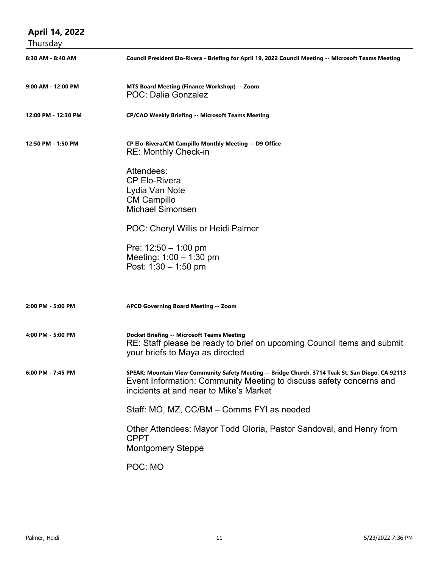| <b>April 14, 2022</b> |                                                                                                                                                                                                                    |
|-----------------------|--------------------------------------------------------------------------------------------------------------------------------------------------------------------------------------------------------------------|
| Thursday              |                                                                                                                                                                                                                    |
| 8:30 AM - 8:40 AM     | Council President Elo-Rivera - Briefing for April 19, 2022 Council Meeting -- Microsoft Teams Meeting                                                                                                              |
| 9:00 AM - 12:00 PM    | MTS Board Meeting (Finance Workshop) -- Zoom<br>POC: Dalia Gonzalez                                                                                                                                                |
| 12:00 PM - 12:30 PM   | <b>CP/CAO Weekly Briefing -- Microsoft Teams Meeting</b>                                                                                                                                                           |
| 12:50 PM - 1:50 PM    | CP Elo-Rivera/CM Campillo Monthly Meeting -- D9 Office<br><b>RE: Monthly Check-in</b>                                                                                                                              |
|                       | Attendees:<br><b>CP Elo-Rivera</b><br>Lydia Van Note<br><b>CM Campillo</b><br><b>Michael Simonsen</b>                                                                                                              |
|                       | POC: Cheryl Willis or Heidi Palmer                                                                                                                                                                                 |
|                       | Pre: $12:50 - 1:00$ pm<br>Meeting: $1:00 - 1:30$ pm<br>Post: $1:30 - 1:50$ pm                                                                                                                                      |
| 2:00 PM - 5:00 PM     | <b>APCD Governing Board Meeting -- Zoom</b>                                                                                                                                                                        |
| 4:00 PM - 5:00 PM     | <b>Docket Briefing -- Microsoft Teams Meeting</b><br>RE: Staff please be ready to brief on upcoming Council items and submit<br>your briefs to Maya as directed                                                    |
| 6:00 PM - 7:45 PM     | SPEAK: Mountain View Community Safety Meeting -- Bridge Church, 3714 Teak St, San Diego, CA 92113<br>Event Information: Community Meeting to discuss safety concerns and<br>incidents at and near to Mike's Market |
|                       | Staff: MO, MZ, CC/BM - Comms FYI as needed                                                                                                                                                                         |
|                       | Other Attendees: Mayor Todd Gloria, Pastor Sandoval, and Henry from<br><b>CPPT</b><br><b>Montgomery Steppe</b>                                                                                                     |
|                       | POC: MO                                                                                                                                                                                                            |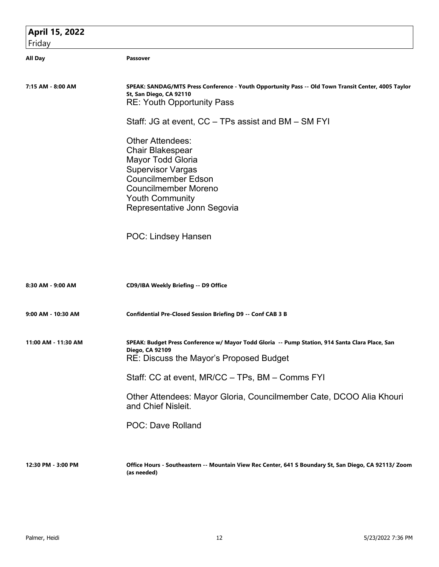| April 15, 2022      |                                                                                                                                                                                                                                  |
|---------------------|----------------------------------------------------------------------------------------------------------------------------------------------------------------------------------------------------------------------------------|
| Friday              |                                                                                                                                                                                                                                  |
| <b>All Day</b>      | Passover                                                                                                                                                                                                                         |
| 7:15 AM - 8:00 AM   | SPEAK: SANDAG/MTS Press Conference - Youth Opportunity Pass -- Old Town Transit Center, 4005 Taylor<br>St, San Diego, CA 92110<br><b>RE: Youth Opportunity Pass</b>                                                              |
|                     | Staff: JG at event, CC - TPs assist and BM - SM FYI                                                                                                                                                                              |
|                     | <b>Other Attendees:</b><br><b>Chair Blakespear</b><br><b>Mayor Todd Gloria</b><br><b>Supervisor Vargas</b><br><b>Councilmember Edson</b><br><b>Councilmember Moreno</b><br><b>Youth Community</b><br>Representative Jonn Segovia |
|                     | <b>POC: Lindsey Hansen</b>                                                                                                                                                                                                       |
| 8:30 AM - 9:00 AM   | CD9/IBA Weekly Briefing -- D9 Office                                                                                                                                                                                             |
| 9:00 AM - 10:30 AM  | <b>Confidential Pre-Closed Session Briefing D9 -- Conf CAB 3 B</b>                                                                                                                                                               |
| 11:00 AM - 11:30 AM | SPEAK: Budget Press Conference w/ Mayor Todd Gloria -- Pump Station, 914 Santa Clara Place, San<br>Diego, CA 92109<br>RE: Discuss the Mayor's Proposed Budget                                                                    |
|                     | Staff: CC at event, MR/CC - TPs, BM - Comms FYI                                                                                                                                                                                  |
|                     | Other Attendees: Mayor Gloria, Councilmember Cate, DCOO Alia Khouri<br>and Chief Nisleit.                                                                                                                                        |
|                     | <b>POC: Dave Rolland</b>                                                                                                                                                                                                         |
| 12:30 PM - 3:00 PM  | Office Hours - Southeastern -- Mountain View Rec Center, 641 S Boundary St, San Diego, CA 92113/ Zoom<br>(as needed)                                                                                                             |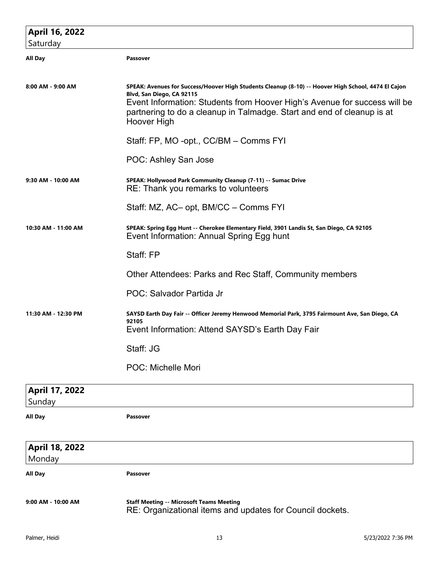| April 16, 2022           |                                                                                                                                                                                                                                                                                                        |
|--------------------------|--------------------------------------------------------------------------------------------------------------------------------------------------------------------------------------------------------------------------------------------------------------------------------------------------------|
| Saturday                 |                                                                                                                                                                                                                                                                                                        |
| All Day                  | <b>Passover</b>                                                                                                                                                                                                                                                                                        |
| 8:00 AM - 9:00 AM        | SPEAK: Avenues for Success/Hoover High Students Cleanup (8-10) -- Hoover High School, 4474 El Cajon<br>Blvd, San Diego, CA 92115<br>Event Information: Students from Hoover High's Avenue for success will be<br>partnering to do a cleanup in Talmadge. Start and end of cleanup is at<br>Hoover High |
|                          | Staff: FP, MO -opt., CC/BM - Comms FYI                                                                                                                                                                                                                                                                 |
|                          | POC: Ashley San Jose                                                                                                                                                                                                                                                                                   |
| 9:30 AM - 10:00 AM       | SPEAK: Hollywood Park Community Cleanup (7-11) -- Sumac Drive<br>RE: Thank you remarks to volunteers                                                                                                                                                                                                   |
|                          | Staff: MZ, AC- opt, BM/CC - Comms FYI                                                                                                                                                                                                                                                                  |
| 10:30 AM - 11:00 AM      | SPEAK: Spring Egg Hunt -- Cherokee Elementary Field, 3901 Landis St, San Diego, CA 92105<br>Event Information: Annual Spring Egg hunt                                                                                                                                                                  |
|                          | Staff: FP                                                                                                                                                                                                                                                                                              |
|                          | Other Attendees: Parks and Rec Staff, Community members                                                                                                                                                                                                                                                |
|                          | POC: Salvador Partida Jr                                                                                                                                                                                                                                                                               |
| 11:30 AM - 12:30 PM      | SAYSD Earth Day Fair -- Officer Jeremy Henwood Memorial Park, 3795 Fairmount Ave, San Diego, CA<br>92105<br>Event Information: Attend SAYSD's Earth Day Fair                                                                                                                                           |
|                          | Staff: JG                                                                                                                                                                                                                                                                                              |
|                          | <b>POC: Michelle Mori</b>                                                                                                                                                                                                                                                                              |
| April 17, 2022<br>Sunday |                                                                                                                                                                                                                                                                                                        |
| All Day                  | <b>Passover</b>                                                                                                                                                                                                                                                                                        |
| April 18, 2022<br>Monday |                                                                                                                                                                                                                                                                                                        |
| All Day                  | <b>Passover</b>                                                                                                                                                                                                                                                                                        |
| 9:00 AM - 10:00 AM       | <b>Staff Meeting -- Microsoft Teams Meeting</b><br>RE: Organizational items and updates for Council dockets.                                                                                                                                                                                           |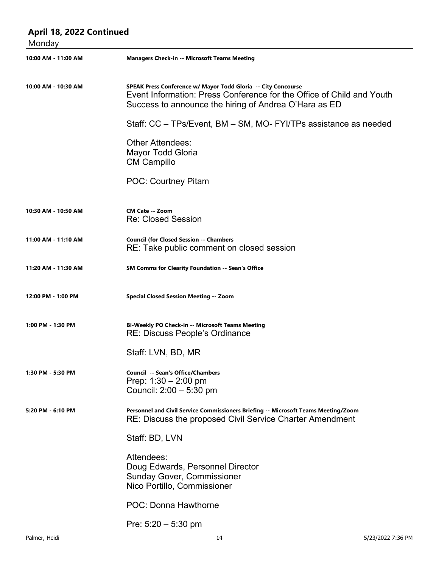| April 18, 2022 Continued<br>Monday |                                                                                                                                                                                                 |  |
|------------------------------------|-------------------------------------------------------------------------------------------------------------------------------------------------------------------------------------------------|--|
| 10:00 AM - 11:00 AM                | <b>Managers Check-in -- Microsoft Teams Meeting</b>                                                                                                                                             |  |
| 10:00 AM - 10:30 AM                | SPEAK Press Conference w/ Mayor Todd Gloria -- City Concourse<br>Event Information: Press Conference for the Office of Child and Youth<br>Success to announce the hiring of Andrea O'Hara as ED |  |
|                                    | Staff: CC – TPs/Event, BM – SM, MO- FYI/TPs assistance as needed                                                                                                                                |  |
|                                    | <b>Other Attendees:</b><br><b>Mayor Todd Gloria</b><br><b>CM Campillo</b>                                                                                                                       |  |
|                                    | <b>POC: Courtney Pitam</b>                                                                                                                                                                      |  |
| 10:30 AM - 10:50 AM                | <b>CM Cate -- Zoom</b><br><b>Re: Closed Session</b>                                                                                                                                             |  |
| 11:00 AM - 11:10 AM                | <b>Council (for Closed Session -- Chambers</b><br>RE: Take public comment on closed session                                                                                                     |  |
| 11:20 AM - 11:30 AM                | <b>SM Comms for Clearity Foundation -- Sean's Office</b>                                                                                                                                        |  |
| 12:00 PM - 1:00 PM                 | <b>Special Closed Session Meeting -- Zoom</b>                                                                                                                                                   |  |
| 1:00 PM - 1:30 PM                  | Bi-Weekly PO Check-in -- Microsoft Teams Meeting<br><b>RE: Discuss People's Ordinance</b>                                                                                                       |  |
|                                    | Staff: LVN, BD, MR                                                                                                                                                                              |  |
| 1:30 PM - 5:30 PM                  | Council -- Sean's Office/Chambers<br>Prep: $1:30 - 2:00$ pm<br>Council: 2:00 - 5:30 pm                                                                                                          |  |
| 5:20 PM - 6:10 PM                  | Personnel and Civil Service Commissioners Briefing -- Microsoft Teams Meeting/Zoom<br>RE: Discuss the proposed Civil Service Charter Amendment                                                  |  |
|                                    | Staff: BD, LVN                                                                                                                                                                                  |  |
|                                    | Attendees:<br>Doug Edwards, Personnel Director<br><b>Sunday Gover, Commissioner</b><br>Nico Portillo, Commissioner                                                                              |  |
|                                    | <b>POC: Donna Hawthorne</b>                                                                                                                                                                     |  |
|                                    | Pre: $5:20 - 5:30$ pm                                                                                                                                                                           |  |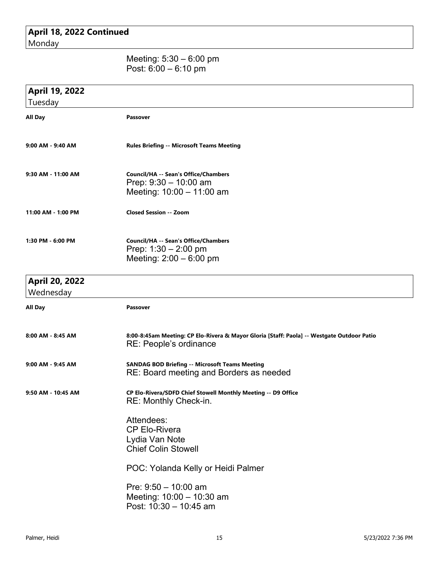### **April 18, 2022 Continued** Monday

#### Meeting: 5:30 – 6:00 pm Post: 6:00 – 6:10 pm

| April 19, 2022<br>Tuesday          |                                                                                                                      |
|------------------------------------|----------------------------------------------------------------------------------------------------------------------|
| <b>All Day</b>                     | Passover                                                                                                             |
| 9:00 AM - 9:40 AM                  | <b>Rules Briefing -- Microsoft Teams Meeting</b>                                                                     |
| 9:30 AM - 11:00 AM                 | <b>Council/HA -- Sean's Office/Chambers</b><br>Prep: $9:30 - 10:00$ am<br>Meeting: 10:00 - 11:00 am                  |
| 11:00 AM - 1:00 PM                 | <b>Closed Session -- Zoom</b>                                                                                        |
| 1:30 PM - 6:00 PM                  | <b>Council/HA -- Sean's Office/Chambers</b><br>Prep: $1:30 - 2:00$ pm<br>Meeting: $2:00 - 6:00$ pm                   |
| <b>April 20, 2022</b><br>Wednesday |                                                                                                                      |
| All Day                            | Passover                                                                                                             |
| 8:00 AM - 8:45 AM                  | 8:00-8:45am Meeting: CP Elo-Rivera & Mayor Gloria [Staff: Paola] -- Westgate Outdoor Patio<br>RE: People's ordinance |
| 9:00 AM - 9:45 AM                  | <b>SANDAG BOD Briefing -- Microsoft Teams Meeting</b><br>RE: Board meeting and Borders as needed                     |
| 9:50 AM - 10:45 AM                 | CP Elo-Rivera/SDFD Chief Stowell Monthly Meeting -- D9 Office<br>RE: Monthly Check-in.                               |
|                                    | Attendees:<br><b>CP Elo-Rivera</b><br>Lydia Van Note<br><b>Chief Colin Stowell</b>                                   |
|                                    | POC: Yolanda Kelly or Heidi Palmer                                                                                   |
|                                    | Pre: $9:50 - 10:00$ am<br>Meeting: 10:00 - 10:30 am<br>Post: 10:30 - 10:45 am                                        |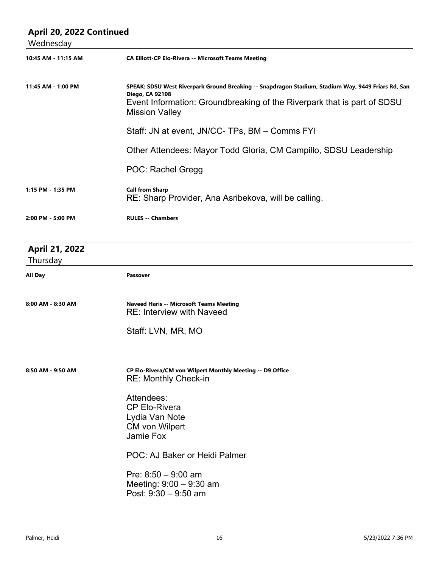| April 20, 2022 Continued<br>Wednesday |                                                                                                                                                                                                                                  |  |
|---------------------------------------|----------------------------------------------------------------------------------------------------------------------------------------------------------------------------------------------------------------------------------|--|
| 10:45 AM - 11:15 AM                   | <b>CA Elliott-CP Elo-Rivera -- Microsoft Teams Meeting</b>                                                                                                                                                                       |  |
| 11:45 AM - 1:00 PM                    | SPEAK: SDSU West Riverpark Ground Breaking -- Snapdragon Stadium, Stadium Way, 9449 Friars Rd, San<br><b>Diego, CA 92108</b><br>Event Information: Groundbreaking of the Riverpark that is part of SDSU<br><b>Mission Valley</b> |  |
|                                       | Staff: JN at event, JN/CC- TPs, BM - Comms FYI                                                                                                                                                                                   |  |
|                                       | Other Attendees: Mayor Todd Gloria, CM Campillo, SDSU Leadership                                                                                                                                                                 |  |
|                                       | POC: Rachel Gregg                                                                                                                                                                                                                |  |
| 1:15 PM - 1:35 PM                     | <b>Call from Sharp</b><br>RE: Sharp Provider, Ana Asribekova, will be calling.                                                                                                                                                   |  |
| 2:00 PM - 5:00 PM                     | <b>RULES -- Chambers</b>                                                                                                                                                                                                         |  |
| <b>April 21, 2022</b><br>Thursday     |                                                                                                                                                                                                                                  |  |
| <b>All Day</b>                        | <b>Passover</b>                                                                                                                                                                                                                  |  |
| 8:00 AM - 8:30 AM                     | <b>Naveed Haris -- Microsoft Teams Meeting</b><br><b>RE: Interview with Naveed</b>                                                                                                                                               |  |
|                                       | Staff: LVN, MR, MO                                                                                                                                                                                                               |  |
| 8:50 AM - 9:50 AM                     | CP Elo-Rivera/CM von Wilpert Monthly Meeting -- D9 Office<br><b>RE: Monthly Check-in</b>                                                                                                                                         |  |
|                                       | Attendees:<br><b>CP Elo-Rivera</b><br>Lydia Van Note<br><b>CM von Wilpert</b><br>Jamie Fox                                                                                                                                       |  |
|                                       | POC: AJ Baker or Heidi Palmer                                                                                                                                                                                                    |  |
|                                       | Pre: $8:50 - 9:00$ am<br>Meeting: 9:00 - 9:30 am<br>Post: 9:30 - 9:50 am                                                                                                                                                         |  |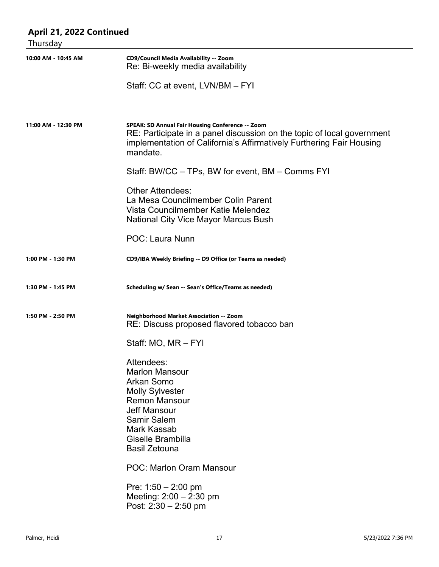| April 21, 2022 Continued |                                                                                                                                                                                                                                                                                                            |  |
|--------------------------|------------------------------------------------------------------------------------------------------------------------------------------------------------------------------------------------------------------------------------------------------------------------------------------------------------|--|
| Thursday                 |                                                                                                                                                                                                                                                                                                            |  |
| 10:00 AM - 10:45 AM      | CD9/Council Media Availability -- Zoom<br>Re: Bi-weekly media availability                                                                                                                                                                                                                                 |  |
|                          | Staff: CC at event, LVN/BM - FYI                                                                                                                                                                                                                                                                           |  |
| 11:00 AM - 12:30 PM      | SPEAK: SD Annual Fair Housing Conference -- Zoom<br>RE: Participate in a panel discussion on the topic of local government<br>implementation of California's Affirmatively Furthering Fair Housing<br>mandate.                                                                                             |  |
|                          | Staff: BW/CC – TPs, BW for event, BM – Comms FYI                                                                                                                                                                                                                                                           |  |
|                          | <b>Other Attendees:</b><br>La Mesa Councilmember Colin Parent<br>Vista Councilmember Katie Melendez<br>National City Vice Mayor Marcus Bush                                                                                                                                                                |  |
|                          | <b>POC: Laura Nunn</b>                                                                                                                                                                                                                                                                                     |  |
| 1:00 PM - 1:30 PM        | CD9/IBA Weekly Briefing -- D9 Office (or Teams as needed)                                                                                                                                                                                                                                                  |  |
| 1:30 PM - 1:45 PM        | Scheduling w/ Sean -- Sean's Office/Teams as needed)                                                                                                                                                                                                                                                       |  |
| 1:50 PM - 2:50 PM        | Neighborhood Market Association -- Zoom<br>RE: Discuss proposed flavored tobacco ban                                                                                                                                                                                                                       |  |
|                          | Staff: MO, MR - FYI                                                                                                                                                                                                                                                                                        |  |
|                          | Attendees:<br><b>Marlon Mansour</b><br><b>Arkan Somo</b><br><b>Molly Sylvester</b><br><b>Remon Mansour</b><br><b>Jeff Mansour</b><br><b>Samir Salem</b><br>Mark Kassab<br>Giselle Brambilla<br><b>Basil Zetouna</b><br><b>POC: Marlon Oram Mansour</b><br>Pre: $1:50 - 2:00$ pm<br>Meeting: 2:00 - 2:30 pm |  |
|                          | Post: $2:30 - 2:50$ pm                                                                                                                                                                                                                                                                                     |  |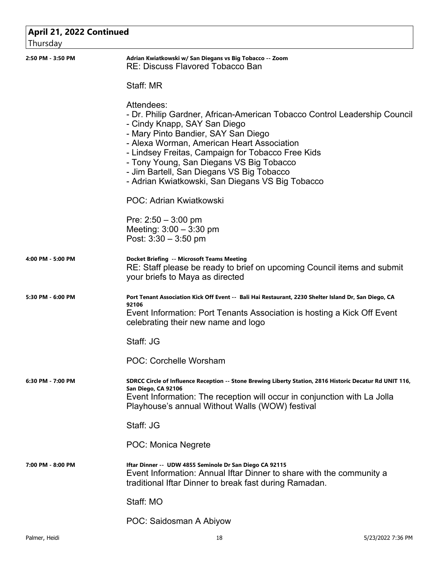| April 21, 2022 Continued |                                                                                                                                                                                                                                                                                                                                                                                                                |
|--------------------------|----------------------------------------------------------------------------------------------------------------------------------------------------------------------------------------------------------------------------------------------------------------------------------------------------------------------------------------------------------------------------------------------------------------|
| Thursday                 |                                                                                                                                                                                                                                                                                                                                                                                                                |
| 2:50 PM - 3:50 PM        | Adrian Kwiatkowski w/ San Diegans vs Big Tobacco -- Zoom<br><b>RE: Discuss Flavored Tobacco Ban</b>                                                                                                                                                                                                                                                                                                            |
|                          | Staff: MR                                                                                                                                                                                                                                                                                                                                                                                                      |
|                          | Attendees:<br>- Dr. Philip Gardner, African-American Tobacco Control Leadership Council<br>- Cindy Knapp, SAY San Diego<br>- Mary Pinto Bandier, SAY San Diego<br>- Alexa Worman, American Heart Association<br>- Lindsey Freitas, Campaign for Tobacco Free Kids<br>- Tony Young, San Diegans VS Big Tobacco<br>- Jim Bartell, San Diegans VS Big Tobacco<br>- Adrian Kwiatkowski, San Diegans VS Big Tobacco |
|                          | POC: Adrian Kwiatkowski                                                                                                                                                                                                                                                                                                                                                                                        |
|                          | Pre: $2:50 - 3:00$ pm<br>Meeting: $3:00 - 3:30$ pm<br>Post: $3:30 - 3:50$ pm                                                                                                                                                                                                                                                                                                                                   |
| 4:00 PM - 5:00 PM        | <b>Docket Briefing -- Microsoft Teams Meeting</b><br>RE: Staff please be ready to brief on upcoming Council items and submit<br>your briefs to Maya as directed                                                                                                                                                                                                                                                |
| 5:30 PM - 6:00 PM        | Port Tenant Association Kick Off Event -- Bali Hai Restaurant, 2230 Shelter Island Dr, San Diego, CA<br>92106<br>Event Information: Port Tenants Association is hosting a Kick Off Event<br>celebrating their new name and logo                                                                                                                                                                                |
|                          | Staff: JG                                                                                                                                                                                                                                                                                                                                                                                                      |
|                          | <b>POC: Corchelle Worsham</b>                                                                                                                                                                                                                                                                                                                                                                                  |
| 6:30 PM - 7:00 PM        | SDRCC Circle of Influence Reception -- Stone Brewing Liberty Station, 2816 Historic Decatur Rd UNIT 116,<br>San Diego, CA 92106<br>Event Information: The reception will occur in conjunction with La Jolla<br>Playhouse's annual Without Walls (WOW) festival                                                                                                                                                 |
|                          | Staff: JG                                                                                                                                                                                                                                                                                                                                                                                                      |
|                          | POC: Monica Negrete                                                                                                                                                                                                                                                                                                                                                                                            |
| 7:00 PM - 8:00 PM        | Iftar Dinner -- UDW 4855 Seminole Dr San Diego CA 92115<br>Event Information: Annual Iftar Dinner to share with the community a<br>traditional Iftar Dinner to break fast during Ramadan.                                                                                                                                                                                                                      |
|                          | Staff: MO                                                                                                                                                                                                                                                                                                                                                                                                      |
|                          | POC: Saidosman A Abiyow                                                                                                                                                                                                                                                                                                                                                                                        |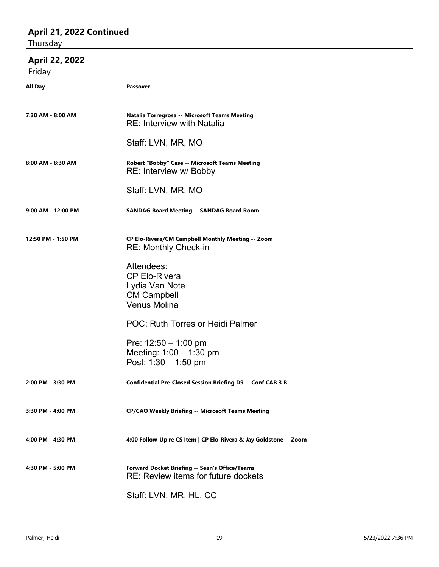## **April 21, 2022 Continued**

**Thursday** 

| April 22, 2022     |                                                                                                   |  |  |
|--------------------|---------------------------------------------------------------------------------------------------|--|--|
| Friday             |                                                                                                   |  |  |
| All Day            | Passover                                                                                          |  |  |
| 7:30 AM - 8:00 AM  | Natalia Torregrosa -- Microsoft Teams Meeting<br><b>RE: Interview with Natalia</b>                |  |  |
|                    | Staff: LVN, MR, MO                                                                                |  |  |
| 8:00 AM - 8:30 AM  | Robert "Bobby" Case -- Microsoft Teams Meeting<br>RE: Interview w/ Bobby                          |  |  |
|                    | Staff: LVN, MR, MO                                                                                |  |  |
| 9:00 AM - 12:00 PM | <b>SANDAG Board Meeting -- SANDAG Board Room</b>                                                  |  |  |
| 12:50 PM - 1:50 PM | CP Elo-Rivera/CM Campbell Monthly Meeting -- Zoom<br><b>RE: Monthly Check-in</b>                  |  |  |
|                    | Attendees:<br><b>CP Elo-Rivera</b><br>Lydia Van Note<br><b>CM Campbell</b><br><b>Venus Molina</b> |  |  |
|                    | POC: Ruth Torres or Heidi Palmer                                                                  |  |  |
|                    | Pre: $12:50 - 1:00$ pm<br>Meeting: 1:00 - 1:30 pm<br>Post: $1:30 - 1:50$ pm                       |  |  |
| 2:00 PM - 3:30 PM  | Confidential Pre-Closed Session Briefing D9 -- Conf CAB 3 B                                       |  |  |
| 3:30 PM - 4:00 PM  | <b>CP/CAO Weekly Briefing -- Microsoft Teams Meeting</b>                                          |  |  |
| 4:00 PM - 4:30 PM  | 4:00 Follow-Up re CS Item   CP Elo-Rivera & Jay Goldstone -- Zoom                                 |  |  |
| 4:30 PM - 5:00 PM  | Forward Docket Briefing -- Sean's Office/Teams<br>RE: Review items for future dockets             |  |  |
|                    | Staff: LVN, MR, HL, CC                                                                            |  |  |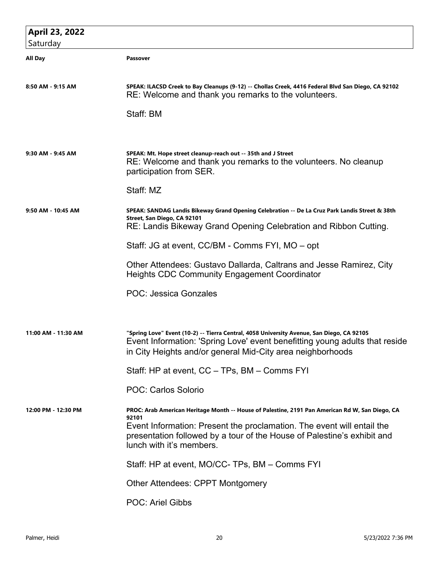| April 23, 2022      |                                                                                                                                                                                                                                        |
|---------------------|----------------------------------------------------------------------------------------------------------------------------------------------------------------------------------------------------------------------------------------|
| Saturday            |                                                                                                                                                                                                                                        |
| All Day             | Passover                                                                                                                                                                                                                               |
|                     |                                                                                                                                                                                                                                        |
| 8:50 AM - 9:15 AM   | SPEAK: ILACSD Creek to Bay Cleanups (9-12) -- Chollas Creek, 4416 Federal Blvd San Diego, CA 92102<br>RE: Welcome and thank you remarks to the volunteers.                                                                             |
|                     | Staff: BM                                                                                                                                                                                                                              |
|                     |                                                                                                                                                                                                                                        |
|                     |                                                                                                                                                                                                                                        |
| 9:30 AM - 9:45 AM   | SPEAK: Mt. Hope street cleanup-reach out -- 35th and J Street<br>RE: Welcome and thank you remarks to the volunteers. No cleanup<br>participation from SER.                                                                            |
|                     | Staff: MZ                                                                                                                                                                                                                              |
| 9:50 AM - 10:45 AM  | SPEAK: SANDAG Landis Bikeway Grand Opening Celebration -- De La Cruz Park Landis Street & 38th                                                                                                                                         |
|                     | Street, San Diego, CA 92101<br>RE: Landis Bikeway Grand Opening Celebration and Ribbon Cutting.                                                                                                                                        |
|                     |                                                                                                                                                                                                                                        |
|                     | Staff: JG at event, CC/BM - Comms FYI, MO - opt                                                                                                                                                                                        |
|                     | Other Attendees: Gustavo Dallarda, Caltrans and Jesse Ramirez, City<br><b>Heights CDC Community Engagement Coordinator</b>                                                                                                             |
|                     | <b>POC: Jessica Gonzales</b>                                                                                                                                                                                                           |
|                     |                                                                                                                                                                                                                                        |
|                     |                                                                                                                                                                                                                                        |
| 11:00 AM - 11:30 AM | "Spring Love" Event (10-2) -- Tierra Central, 4058 University Avenue, San Diego, CA 92105<br>Event Information: 'Spring Love' event benefitting young adults that reside<br>in City Heights and/or general Mid-City area neighborhoods |
|                     | Staff: HP at event, CC - TPs, BM - Comms FYI                                                                                                                                                                                           |
|                     | POC: Carlos Solorio                                                                                                                                                                                                                    |
| 12:00 PM - 12:30 PM | PROC: Arab American Heritage Month -- House of Palestine, 2191 Pan American Rd W, San Diego, CA                                                                                                                                        |
|                     | 92101<br>Event Information: Present the proclamation. The event will entail the                                                                                                                                                        |
|                     | presentation followed by a tour of the House of Palestine's exhibit and<br>lunch with it's members.                                                                                                                                    |
|                     | Staff: HP at event, MO/CC- TPs, BM - Comms FYI                                                                                                                                                                                         |
|                     | <b>Other Attendees: CPPT Montgomery</b>                                                                                                                                                                                                |
|                     | <b>POC: Ariel Gibbs</b>                                                                                                                                                                                                                |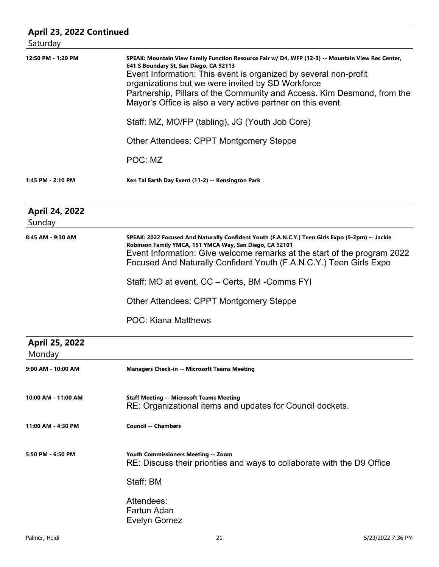| April 23, 2022 Continued<br>Saturday |                                                                                                                                                                                                                                                                                                                                                                                                                                                                   |
|--------------------------------------|-------------------------------------------------------------------------------------------------------------------------------------------------------------------------------------------------------------------------------------------------------------------------------------------------------------------------------------------------------------------------------------------------------------------------------------------------------------------|
| 12:50 PM - 1:20 PM                   | SPEAK: Mountain View Family Function Resource Fair w/ D4, WFP (12-3) -- Mountain View Rec Center,<br>641 S Boundary St, San Diego, CA 92113<br>Event Information: This event is organized by several non-profit<br>organizations but we were invited by SD Workforce<br>Partnership, Pillars of the Community and Access. Kim Desmond, from the<br>Mayor's Office is also a very active partner on this event.<br>Staff: MZ, MO/FP (tabling), JG (Youth Job Core) |
|                                      | Other Attendees: CPPT Montgomery Steppe                                                                                                                                                                                                                                                                                                                                                                                                                           |
|                                      | POC: MZ                                                                                                                                                                                                                                                                                                                                                                                                                                                           |
| 1:45 PM - 2:10 PM                    | Ken Tal Earth Day Event (11-2) -- Kensington Park                                                                                                                                                                                                                                                                                                                                                                                                                 |
| <b>April 24, 2022</b><br>Sunday      |                                                                                                                                                                                                                                                                                                                                                                                                                                                                   |
| 8:45 AM - 9:30 AM                    | SPEAK: 2022 Focused And Naturally Confident Youth (F.A.N.C.Y.) Teen Girls Expo (9-2pm) -- Jackie<br>Robinson Family YMCA, 151 YMCA Way, San Diego, CA 92101<br>Event Information: Give welcome remarks at the start of the program 2022<br>Focused And Naturally Confident Youth (F.A.N.C.Y.) Teen Girls Expo                                                                                                                                                     |
|                                      | Staff: MO at event, CC – Certs, BM -Comms FYI                                                                                                                                                                                                                                                                                                                                                                                                                     |
|                                      | Other Attendees: CPPT Montgomery Steppe                                                                                                                                                                                                                                                                                                                                                                                                                           |
|                                      | <b>POC: Kiana Matthews</b>                                                                                                                                                                                                                                                                                                                                                                                                                                        |
| April 25, 2022<br>Monday             |                                                                                                                                                                                                                                                                                                                                                                                                                                                                   |
| 9:00 AM - 10:00 AM                   | <b>Managers Check-in -- Microsoft Teams Meeting</b>                                                                                                                                                                                                                                                                                                                                                                                                               |
| 10:00 AM - 11:00 AM                  | <b>Staff Meeting -- Microsoft Teams Meeting</b><br>RE: Organizational items and updates for Council dockets.                                                                                                                                                                                                                                                                                                                                                      |
| 11:00 AM - 4:30 PM                   | <b>Council -- Chambers</b>                                                                                                                                                                                                                                                                                                                                                                                                                                        |
| 5:50 PM - 6:50 PM                    | Youth Commissioners Meeting -- Zoom<br>RE: Discuss their priorities and ways to collaborate with the D9 Office                                                                                                                                                                                                                                                                                                                                                    |
|                                      | Staff: BM                                                                                                                                                                                                                                                                                                                                                                                                                                                         |
|                                      | Attendees:<br>Fartun Adan<br><b>Evelyn Gomez</b>                                                                                                                                                                                                                                                                                                                                                                                                                  |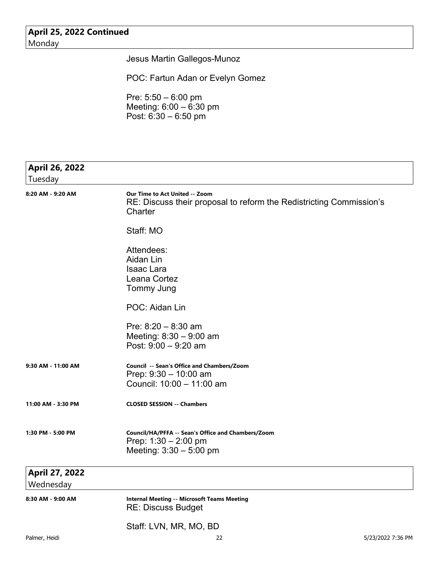### **April 25, 2022 Continued** Monday

Jesus Martin Gallegos-Munoz

POC: Fartun Adan or Evelyn Gomez

Pre: 5:50 – 6:00 pm Meeting: 6:00 – 6:30 pm Post: 6:30 – 6:50 pm

| April 26, 2022              |                                                                                                                         |
|-----------------------------|-------------------------------------------------------------------------------------------------------------------------|
| Tuesday                     |                                                                                                                         |
| 8:20 AM - 9:20 AM           | <b>Our Time to Act United -- Zoom</b><br>RE: Discuss their proposal to reform the Redistricting Commission's<br>Charter |
|                             | Staff: MO                                                                                                               |
|                             | Attendees:<br>Aidan Lin<br><b>Isaac Lara</b><br>Leana Cortez<br><b>Tommy Jung</b>                                       |
|                             | POC: Aidan Lin                                                                                                          |
|                             | Pre: $8:20 - 8:30$ am<br>Meeting: $8:30 - 9:00$ am<br>Post: $9:00 - 9:20$ am                                            |
| 9:30 AM - 11:00 AM          | Council -- Sean's Office and Chambers/Zoom<br>Prep: $9:30 - 10:00$ am<br>Council: 10:00 - 11:00 am                      |
| 11:00 AM - 3:30 PM          | <b>CLOSED SESSION -- Chambers</b>                                                                                       |
| 1:30 PM - 5:00 PM           | Council/HA/PFFA -- Sean's Office and Chambers/Zoom<br>Prep: $1:30 - 2:00$ pm<br>Meeting: $3:30 - 5:00$ pm               |
| April 27, 2022<br>Wednesday |                                                                                                                         |
| 8:30 AM - 9:00 AM           | <b>Internal Meeting -- Microsoft Teams Meeting</b><br><b>RE: Discuss Budget</b>                                         |

Staff: LVN, MR, MO, BD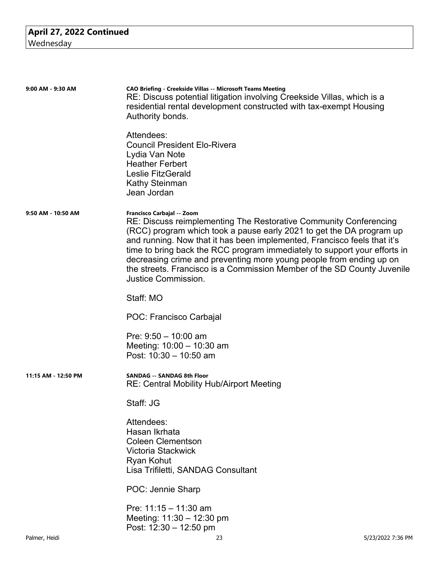| 9:00 AM - 9:30 AM   | CAO Briefing - Creekside Villas -- Microsoft Teams Meeting<br>RE: Discuss potential litigation involving Creekside Villas, which is a<br>residential rental development constructed with tax-exempt Housing<br>Authority bonds.                                                                                                                                                                                                                                                                                  |                   |
|---------------------|------------------------------------------------------------------------------------------------------------------------------------------------------------------------------------------------------------------------------------------------------------------------------------------------------------------------------------------------------------------------------------------------------------------------------------------------------------------------------------------------------------------|-------------------|
|                     | Attendees:<br><b>Council President Elo-Rivera</b><br>Lydia Van Note<br><b>Heather Ferbert</b><br><b>Leslie FitzGerald</b><br><b>Kathy Steinman</b><br>Jean Jordan                                                                                                                                                                                                                                                                                                                                                |                   |
| 9:50 AM - 10:50 AM  | Francisco Carbajal -- Zoom<br>RE: Discuss reimplementing The Restorative Community Conferencing<br>(RCC) program which took a pause early 2021 to get the DA program up<br>and running. Now that it has been implemented, Francisco feels that it's<br>time to bring back the RCC program immediately to support your efforts in<br>decreasing crime and preventing more young people from ending up on<br>the streets. Francisco is a Commission Member of the SD County Juvenile<br><b>Justice Commission.</b> |                   |
|                     | Staff: MO                                                                                                                                                                                                                                                                                                                                                                                                                                                                                                        |                   |
|                     | POC: Francisco Carbajal                                                                                                                                                                                                                                                                                                                                                                                                                                                                                          |                   |
|                     | Pre: $9:50 - 10:00$ am<br>Meeting: $10:00 - 10:30$ am<br>Post: $10:30 - 10:50$ am                                                                                                                                                                                                                                                                                                                                                                                                                                |                   |
| 11:15 AM - 12:50 PM | <b>SANDAG -- SANDAG 8th Floor</b><br><b>RE: Central Mobility Hub/Airport Meeting</b>                                                                                                                                                                                                                                                                                                                                                                                                                             |                   |
|                     | Staff: JG                                                                                                                                                                                                                                                                                                                                                                                                                                                                                                        |                   |
|                     | Attendees:<br>Hasan Ikrhata<br><b>Coleen Clementson</b><br>Victoria Stackwick<br>Ryan Kohut<br>Lisa Trifiletti, SANDAG Consultant                                                                                                                                                                                                                                                                                                                                                                                |                   |
|                     | POC: Jennie Sharp                                                                                                                                                                                                                                                                                                                                                                                                                                                                                                |                   |
|                     | Pre: $11:15 - 11:30$ am<br>Meeting: 11:30 - 12:30 pm<br>Post: $12:30 - 12:50$ pm                                                                                                                                                                                                                                                                                                                                                                                                                                 |                   |
| Palmer, Heidi       | 23                                                                                                                                                                                                                                                                                                                                                                                                                                                                                                               | 5/23/2022 7:36 PM |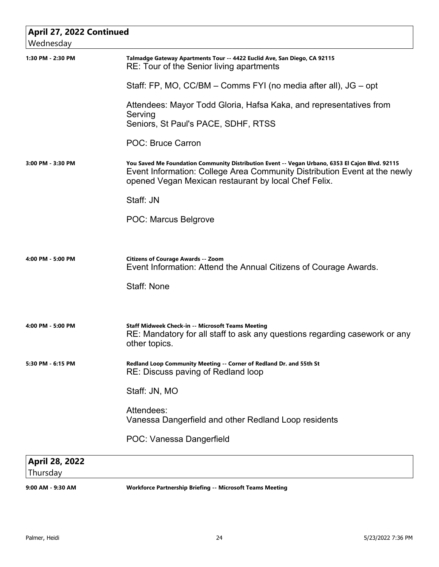| April 27, 2022 Continued   |                                                                                                                                                                                                                                      |  |
|----------------------------|--------------------------------------------------------------------------------------------------------------------------------------------------------------------------------------------------------------------------------------|--|
| Wednesday                  |                                                                                                                                                                                                                                      |  |
| 1:30 PM - 2:30 PM          | Talmadge Gateway Apartments Tour -- 4422 Euclid Ave, San Diego, CA 92115<br>RE: Tour of the Senior living apartments                                                                                                                 |  |
|                            | Staff: FP, MO, CC/BM – Comms FYI (no media after all), JG – opt                                                                                                                                                                      |  |
|                            | Attendees: Mayor Todd Gloria, Hafsa Kaka, and representatives from<br>Serving<br>Seniors, St Paul's PACE, SDHF, RTSS                                                                                                                 |  |
|                            | <b>POC: Bruce Carron</b>                                                                                                                                                                                                             |  |
| 3:00 PM - 3:30 PM          | You Saved Me Foundation Community Distribution Event -- Vegan Urbano, 6353 El Cajon Blvd. 92115<br>Event Information: College Area Community Distribution Event at the newly<br>opened Vegan Mexican restaurant by local Chef Felix. |  |
|                            | Staff: JN                                                                                                                                                                                                                            |  |
|                            | <b>POC: Marcus Belgrove</b>                                                                                                                                                                                                          |  |
|                            |                                                                                                                                                                                                                                      |  |
| 4:00 PM - 5:00 PM          | Citizens of Courage Awards -- Zoom<br>Event Information: Attend the Annual Citizens of Courage Awards.                                                                                                                               |  |
|                            | <b>Staff: None</b>                                                                                                                                                                                                                   |  |
| 4:00 PM - 5:00 PM          | Staff Midweek Check-in -- Microsoft Teams Meeting<br>RE: Mandatory for all staff to ask any questions regarding casework or any<br>other topics.                                                                                     |  |
| 5:30 PM - 6:15 PM          | Redland Loop Community Meeting -- Corner of Redland Dr. and 55th St<br>RE: Discuss paving of Redland loop                                                                                                                            |  |
|                            | Staff: JN, MO                                                                                                                                                                                                                        |  |
|                            | Attendees:<br>Vanessa Dangerfield and other Redland Loop residents                                                                                                                                                                   |  |
|                            | POC: Vanessa Dangerfield                                                                                                                                                                                                             |  |
| April 28, 2022<br>Thursday |                                                                                                                                                                                                                                      |  |
|                            |                                                                                                                                                                                                                                      |  |

**9:00 AM - 9:30 AM Workforce Partnership Briefing -- Microsoft Teams Meeting**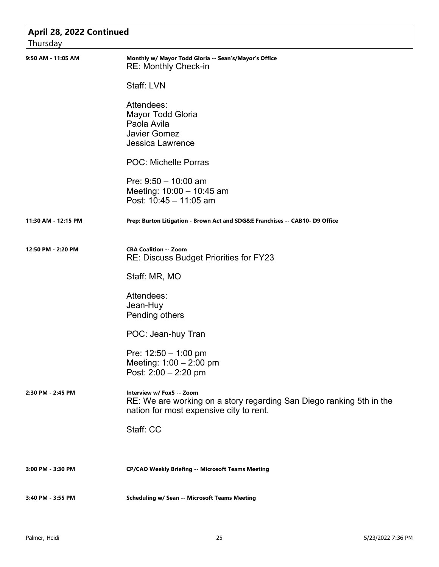| April 28, 2022 Continued<br>Thursday |                                                                                                                                              |  |
|--------------------------------------|----------------------------------------------------------------------------------------------------------------------------------------------|--|
| 9:50 AM - 11:05 AM                   | Monthly w/ Mayor Todd Gloria -- Sean's/Mayor's Office<br><b>RE: Monthly Check-in</b>                                                         |  |
|                                      | Staff: LVN                                                                                                                                   |  |
|                                      | Attendees:<br>Mayor Todd Gloria                                                                                                              |  |
|                                      | Paola Avila                                                                                                                                  |  |
|                                      | <b>Javier Gomez</b>                                                                                                                          |  |
|                                      | Jessica Lawrence                                                                                                                             |  |
|                                      | <b>POC: Michelle Porras</b>                                                                                                                  |  |
|                                      | Pre: $9:50 - 10:00$ am                                                                                                                       |  |
|                                      | Meeting: 10:00 - 10:45 am                                                                                                                    |  |
|                                      | Post: 10:45 - 11:05 am                                                                                                                       |  |
| 11:30 AM - 12:15 PM                  | Prep: Burton Litigation - Brown Act and SDG&E Franchises -- CAB10- D9 Office                                                                 |  |
| 12:50 PM - 2:20 PM                   | <b>CBA Coalition -- Zoom</b>                                                                                                                 |  |
|                                      | RE: Discuss Budget Priorities for FY23                                                                                                       |  |
|                                      | Staff: MR, MO                                                                                                                                |  |
|                                      | Attendees:                                                                                                                                   |  |
|                                      | Jean-Huy                                                                                                                                     |  |
|                                      | Pending others                                                                                                                               |  |
|                                      | POC: Jean-huy Tran                                                                                                                           |  |
|                                      | Pre: $12:50 - 1:00$ pm                                                                                                                       |  |
|                                      | Meeting: $1:00 - 2:00$ pm                                                                                                                    |  |
|                                      | Post: $2:00 - 2:20$ pm                                                                                                                       |  |
| 2:30 PM - 2:45 PM                    | Interview w/ Fox5 -- Zoom<br>RE: We are working on a story regarding San Diego ranking 5th in the<br>nation for most expensive city to rent. |  |
|                                      | Staff: CC                                                                                                                                    |  |
|                                      |                                                                                                                                              |  |
| 3:00 PM - 3:30 PM                    | <b>CP/CAO Weekly Briefing -- Microsoft Teams Meeting</b>                                                                                     |  |
| 3:40 PM - 3:55 PM                    | <b>Scheduling w/ Sean -- Microsoft Teams Meeting</b>                                                                                         |  |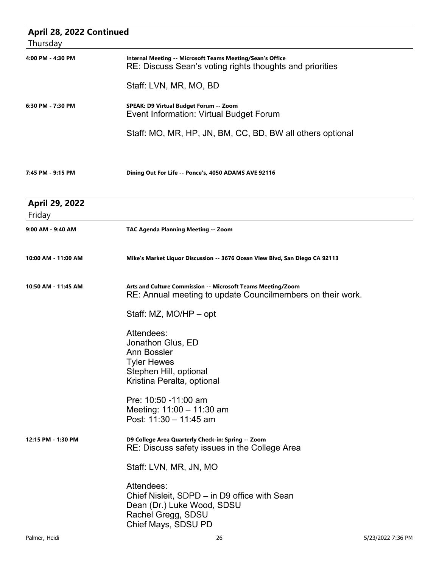| April 28, 2022 Continued<br>Thursday |                                                                                                                                       |  |
|--------------------------------------|---------------------------------------------------------------------------------------------------------------------------------------|--|
| 4:00 PM - 4:30 PM                    | Internal Meeting -- Microsoft Teams Meeting/Sean's Office<br>RE: Discuss Sean's voting rights thoughts and priorities                 |  |
|                                      | Staff: LVN, MR, MO, BD                                                                                                                |  |
| 6:30 PM - 7:30 PM                    | SPEAK: D9 Virtual Budget Forum -- Zoom<br>Event Information: Virtual Budget Forum                                                     |  |
|                                      | Staff: MO, MR, HP, JN, BM, CC, BD, BW all others optional                                                                             |  |
| 7:45 PM - 9:15 PM                    | Dining Out For Life -- Ponce's, 4050 ADAMS AVE 92116                                                                                  |  |
| April 29, 2022<br>Friday             |                                                                                                                                       |  |
| 9:00 AM - 9:40 AM                    | TAC Agenda Planning Meeting -- Zoom                                                                                                   |  |
| 10:00 AM - 11:00 AM                  | Mike's Market Liquor Discussion -- 3676 Ocean View Blvd, San Diego CA 92113                                                           |  |
| 10:50 AM - 11:45 AM                  | Arts and Culture Commission -- Microsoft Teams Meeting/Zoom<br>RE: Annual meeting to update Councilmembers on their work.             |  |
|                                      | Staff: MZ, MO/HP - opt                                                                                                                |  |
|                                      | Attendees:<br>Jonathon Glus, ED                                                                                                       |  |
|                                      | <b>Ann Bossler</b><br><b>Tyler Hewes</b>                                                                                              |  |
|                                      | Stephen Hill, optional<br>Kristina Peralta, optional                                                                                  |  |
|                                      | Pre: 10:50 -11:00 am<br>Meeting: 11:00 - 11:30 am<br>Post: 11:30 - 11:45 am                                                           |  |
| 12:15 PM - 1:30 PM                   | D9 College Area Quarterly Check-in: Spring -- Zoom<br>RE: Discuss safety issues in the College Area                                   |  |
|                                      | Staff: LVN, MR, JN, MO                                                                                                                |  |
|                                      | Attendees:<br>Chief Nisleit, SDPD – in D9 office with Sean<br>Dean (Dr.) Luke Wood, SDSU<br>Rachel Gregg, SDSU<br>Chief Mays, SDSU PD |  |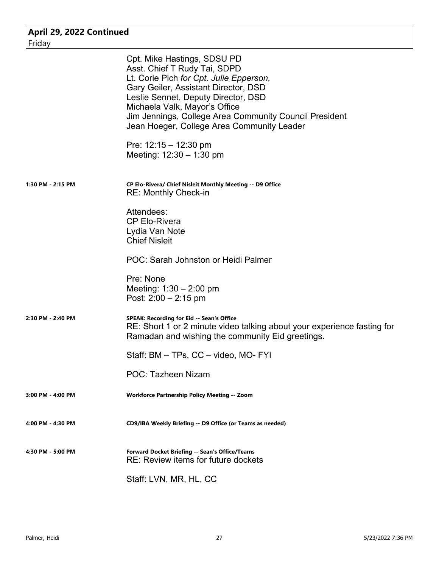| April 29, 2022 Continued |                                                                                                                                                                                                                                                                                                                                                                                         |
|--------------------------|-----------------------------------------------------------------------------------------------------------------------------------------------------------------------------------------------------------------------------------------------------------------------------------------------------------------------------------------------------------------------------------------|
| Friday                   |                                                                                                                                                                                                                                                                                                                                                                                         |
|                          | Cpt. Mike Hastings, SDSU PD<br>Asst. Chief T Rudy Tai, SDPD<br>Lt. Corie Pich for Cpt. Julie Epperson,<br>Gary Geiler, Assistant Director, DSD<br>Leslie Sennet, Deputy Director, DSD<br>Michaela Valk, Mayor's Office<br>Jim Jennings, College Area Community Council President<br>Jean Hoeger, College Area Community Leader<br>Pre: $12:15 - 12:30$ pm<br>Meeting: $12:30 - 1:30$ pm |
| 1:30 PM - 2:15 PM        | CP Elo-Rivera/ Chief Nisleit Monthly Meeting -- D9 Office<br><b>RE: Monthly Check-in</b>                                                                                                                                                                                                                                                                                                |
|                          | Attendees:<br><b>CP Elo-Rivera</b><br>Lydia Van Note<br><b>Chief Nisleit</b>                                                                                                                                                                                                                                                                                                            |
|                          | POC: Sarah Johnston or Heidi Palmer                                                                                                                                                                                                                                                                                                                                                     |
|                          | Pre: None<br>Meeting: $1:30 - 2:00$ pm<br>Post: $2:00 - 2:15$ pm                                                                                                                                                                                                                                                                                                                        |
| 2:30 PM - 2:40 PM        | SPEAK: Recording for Eid -- Sean's Office<br>RE: Short 1 or 2 minute video talking about your experience fasting for<br>Ramadan and wishing the community Eid greetings.                                                                                                                                                                                                                |
|                          | Staff: BM - TPs, CC - video, MO- FYI                                                                                                                                                                                                                                                                                                                                                    |
|                          | POC: Tazheen Nizam                                                                                                                                                                                                                                                                                                                                                                      |
| $3:00$ PM - $4:00$ PM    | <b>Workforce Partnership Policy Meeting -- Zoom</b>                                                                                                                                                                                                                                                                                                                                     |
| 4:00 PM - 4:30 PM        | CD9/IBA Weekly Briefing -- D9 Office (or Teams as needed)                                                                                                                                                                                                                                                                                                                               |
| 4:30 PM - 5:00 PM        | Forward Docket Briefing -- Sean's Office/Teams<br>RE: Review items for future dockets                                                                                                                                                                                                                                                                                                   |
|                          | Staff: LVN, MR, HL, CC                                                                                                                                                                                                                                                                                                                                                                  |